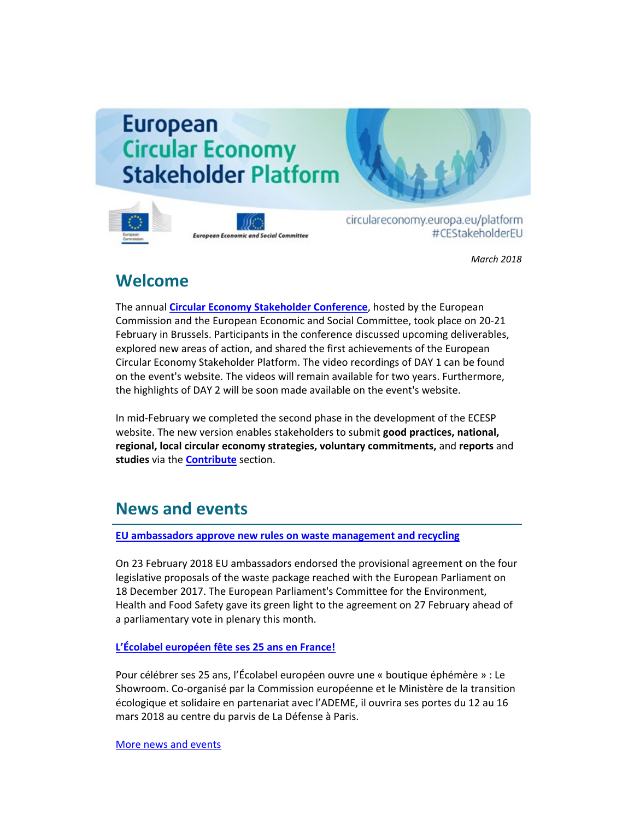# **European Circular Economy Stakeholder Platform**



**European Economic and Social Committee** 

circulareconomy.europa.eu/platform #CEStakeholderEU

*March 2018*

#### **Welcome**

The annual **[Circular Economy Stakeholder Conference](http://cdlink.eesc.europa.eu/l/2c98f48a8bc143e6af2b23d9c0d94be1/66C2E0BA/E40A279D/032018n)**, hosted by the European Commission and the European Economic and Social Committee, took place on 20-21 February in Brussels. Participants in the conference discussed upcoming deliverables, explored new areas of action, and shared the first achievements of the European Circular Economy Stakeholder Platform. The video recordings of DAY 1 can be found on the event's website. The videos will remain available for two years. Furthermore, the highlights of DAY 2 will be soon made available on the event's website.

In mid-February we completed the second phase in the development of the ECESP website. The new version enables stakeholders to submit **good practices, national, regional, local circular economy strategies, voluntary commitments,** and **reports** and **studies** via the **[Contribute](http://cdlink.eesc.europa.eu/l/2c98f48a8bc143e6af2b23d9c0d94be1/66C2E0BA/8966AA93/032018n)** section.

## **News and events**

**[EU ambassadors approve new rules on waste management and recycling](http://cdlink.eesc.europa.eu/l/2c98f48a8bc143e6af2b23d9c0d94be1/66C2E0BA/A17306BF/032018n)**

On 23 February 2018 EU ambassadors endorsed the provisional agreement on the four legislative proposals of the waste package reached with the European Parliament on 18 December 2017. The European Parliament's Committee for the Environment, Health and Food Safety gave its green light to the agreement on 27 February ahead of a parliamentary vote in plenary this month.

#### **[L'Écolabel européen fête ses 25 ans en France!](http://cdlink.eesc.europa.eu/l/2c98f48a8bc143e6af2b23d9c0d94be1/66C2E0BA/B7492F85/032018n)**

Pour célébrer ses 25 ans, l'Écolabel européen ouvre une « boutique éphémère » : Le Showroom. Co-organisé par la Commission européenne et le Ministère de la transition écologique et solidaire en partenariat avec l'ADEME, il ouvrira ses portes du 12 au 16 mars 2018 au centre du parvis de La Défense à Paris.

[More news and events](http://cdlink.eesc.europa.eu/l/2c98f48a8bc143e6af2b23d9c0d94be1/66C2E0BA/5CA1E1B4/032018n)